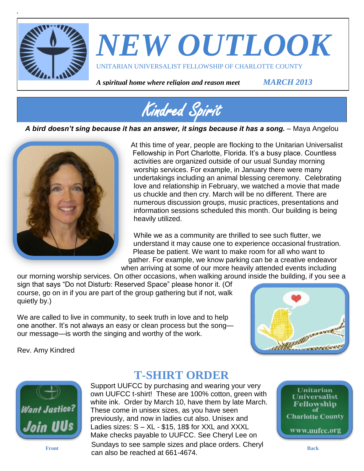

# *NEW OUTLOOK* UNITARIAN UNIVERSALIST FELLOWSHIP OF CHARLOTTE COUNTY

*A spiritual home where religion and reason meet MARCH 2013*



*A bird doesn't sing because it has an answer, it sings because it has a song.* – Maya Angelou



At this time of year, people are flocking to the Unitarian Universalist Fellowship in Port Charlotte, Florida. It's a busy place. Countless activities are organized outside of our usual Sunday morning worship services. For example, in January there were many undertakings including an animal blessing ceremony. Celebrating love and relationship in February, we watched a movie that made us chuckle and then cry. March will be no different. There are numerous discussion groups, music practices, presentations and information sessions scheduled this month. Our building is being heavily utilized.

While we as a community are thrilled to see such flutter, we understand it may cause one to experience occasional frustration. Please be patient. We want to make room for all who want to gather. For example, we know parking can be a creative endeavor when arriving at some of our more heavily attended events including

our morning worship services. On other occasions, when walking around inside the building, if you see a sign that says "Do not Disturb: Reserved Space" please honor it. (Of course, go on in if you are part of the group gathering but if not, walk quietly by.)

We are called to live in community, to seek truth in love and to help one another. It's not always an easy or clean process but the song our message—is worth the singing and worthy of the work.



Rev. Amy Kindred



### **T-SHIRT ORDER**

Support UUFCC by purchasing and wearing your very own UUFCC t-shirt! These are 100% cotton, green with white ink. Order by March 10, have them by late March. These come in unisex sizes, as you have seen previously, and now in ladies cut also. Unisex and Ladies sizes: S – XL - \$15, 18\$ for XXL and XXXL Make checks payable to UUFCC. See Cheryl Lee on **Sundays to see sample sizes and place orders. Cheryl Back** Back can also be reached at 661-4674.

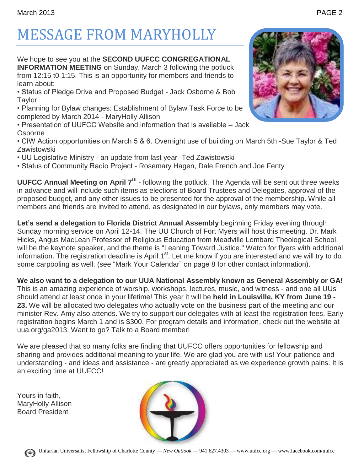# MESSAGE FROM MARYHOLLY

We hope to see you at the **SECOND UUFCC CONGREGATIONAL INFORMATION MEETING** on Sunday, March 3 following the potluck from 12:15 t0 1:15. This is an opportunity for members and friends to learn about:

• Status of Pledge Drive and Proposed Budget - Jack Osborne & Bob **Taylor** 

• Planning for Bylaw changes: Establishment of Bylaw Task Force to be completed by March 2014 - MaryHolly Allison

• Presentation of UUFCC Website and information that is available – Jack **Osborne** 

• CIW Action opportunities on March 5 & 6. Overnight use of building on March 5th -Sue Taylor & Ted Zawistowski

• UU Legislative Ministry - an update from last year -Ted Zawistowski

• Status of Community Radio Project - Rosemary Hagen, Dale French and Joe Fenty

**UUFCC Annual Meeting on April 7th** - following the potluck. The Agenda will be sent out three weeks in advance and will include such items as elections of Board Trustees and Delegates, approval of the proposed budget, and any other issues to be presented for the approval of the membership. While all members and friends are invited to attend, as designated in our bylaws, only members may vote.

Let's send a delegation to Florida District Annual Assembly beginning Friday evening through Sunday morning service on April 12-14. The UU Church of Fort Myers will host this meeting. Dr. Mark Hicks, Angus MacLean Professor of Religious Education from Meadville Lombard Theological School, will be the keynote speaker, and the theme is "Leaning Toward Justice." Watch for flyers with additional information. The registration deadline is April 1<sup>st</sup>. Let me know if you are interested and we will try to do some carpooling as well. (see "Mark Your Calendar" on page 8 for other contact information).

**We also want to a delegation to our UUA National Assembly known as General Assembly or GA!** This is an amazing experience of worship, workshops, lectures, music, and witness - and one all UUs should attend at least once in your lifetime! This year it will be **held in Louisville, KY from June 19 - 23.** We will be allocated two delegates who actually vote on the business part of the meeting and our minister Rev. Amy also attends. We try to support our delegates with at least the registration fees. Early registration begins March 1 and is \$300. For program details and information, check out the website at uua.org/ga2013. Want to go? Talk to a Board member!

We are pleased that so many folks are finding that UUFCC offers opportunities for fellowship and sharing and provides additional meaning to your life. We are glad you are with us! Your patience and understanding - and ideas and assistance - are greatly appreciated as we experience growth pains. It is an exciting time at UUFCC!

Yours in faith, MaryHolly Allison Board President

(+)





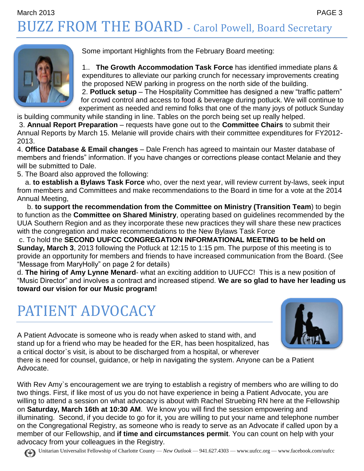### March 2013 PAGE 3 BUZZ FROM THE BOARD - Carol Powell, Board Secretary



Some important Highlights from the February Board meeting:

1.. **The Growth Accommodation Task Force** has identified immediate plans & expenditures to alleviate our parking crunch for necessary improvements creating the proposed NEW parking in progress on the north side of the building. 2. **Potluck setup** – The Hospitality Committee has designed a new "traffic pattern"

for crowd control and access to food & beverage during potluck. We will continue to experiment as needed and remind folks that one of the many joys of potluck Sunday

is building community while standing in line. Tables on the porch being set up really helped. 3. **Annual Report Preparation** – requests have gone out to the **Committee Chairs** to submit their

Annual Reports by March 15. Melanie will provide chairs with their committee expenditures for FY2012- 2013.

4. **Office Database & Email changes** – Dale French has agreed to maintain our Master database of members and friends" information. If you have changes or corrections please contact Melanie and they will be submitted to Dale.

5. The Board also approved the following:

 a. **to establish a Bylaws Task Force** who, over the next year, will review current by-laws, seek input from members and Committees and make recommendations to the Board in time for a vote at the 2014 Annual Meeting,

 b. **to support the recommendation from the Committee on Ministry (Transition Team**) to begin to function as the **Committee on Shared Ministry**, operating based on guidelines recommended by the UUA Southern Region and as they incorporate these new practices they will share these new practices with the congregation and make recommendations to the New Bylaws Task Force

c. To hold the **SECOND UUFCC CONGREGATION INFORMATIONAL MEETING to be held on Sunday, March 3**, 2013 following the Potluck at 12:15 to 1:15 pm. The purpose of this meeting is to provide an opportunity for members and friends to have increased communication from the Board. (See "Message from MaryHolly" on page 2 for details)

d. **The hiring of Amy Lynne Menard**- what an exciting addition to UUFCC! This is a new position of "Music Director" and involves a contract and increased stipend. **We are so glad to have her leading us toward our vision for our Music program!**

### PATIENT ADVOCACY



A Patient Advocate is someone who is ready when asked to stand with, and stand up for a friend who may be headed for the ER, has been hospitalized, has a critical doctor`s visit, is about to be discharged from a hospital, or wherever

there is need for counsel, guidance, or help in navigating the system. Anyone can be a Patient Advocate.

With Rev Amy`s encouragement we are trying to establish a registry of members who are willing to do two things. First, if like most of us you do not have experience in being a Patient Advocate, you are willing to attend a session on what advocacy is about with Rachel Struebing RN here at the Fellowship on **Saturday, March 16th at 10:30 AM**. We know you will find the session empowering and illuminating. Second, if you decide to go for it, you are willing to put your name and telephone number on the Congregational Registry, as someone who is ready to serve as an Advocate if called upon by a member of our Fellowship, and **if time and circumstances permit**. You can count on help with your advocacy from your colleagues in the Registry.

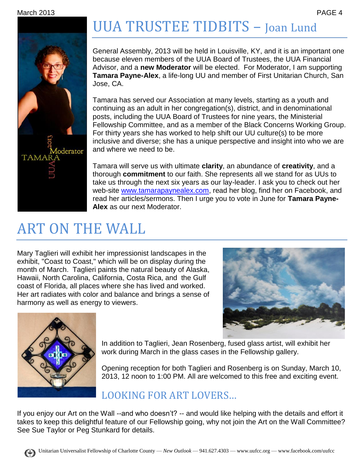

# UUA TRUSTEE TIDBITS – Joan Lund

General Assembly, 2013 will be held in Louisville, KY, and it is an important one because eleven members of the UUA Board of Trustees, the UUA Financial Advisor, and a **new Moderator** will be elected. For Moderator, I am supporting **Tamara Payne-Alex**, a life-long UU and member of First Unitarian Church, San Jose, CA.

Tamara has served our Association at many levels, starting as a youth and continuing as an adult in her congregation(s), district, and in denominational posts, including the UUA Board of Trustees for nine years, the Ministerial Fellowship Committee, and as a member of the Black Concerns Working Group. For thirty years she has worked to help shift our UU culture(s) to be more inclusive and diverse; she has a unique perspective and insight into who we are and where we need to be.

Tamara will serve us with ultimate **clarity**, an abundance of **creativity**, and a thorough **commitment** to our faith. She represents all we stand for as UUs to take us through the next six years as our lay-leader. I ask you to check out her web-site [www.tamarapaynealex.com,](http://www.tamarapaynealex.com/) read her blog, find her on Facebook, and read her articles/sermons. Then I urge you to vote in June for **Tamara Payne-Alex** as our next Moderator.

## ART ON THE WALL

Mary Taglieri will exhibit her impressionist landscapes in the exhibit, "Coast to Coast," which will be on display during the month of March. Taglieri paints the natural beauty of Alaska, Hawaii, North Carolina, California, Costa Rica, and the Gulf coast of Florida, all places where she has lived and worked. Her art radiates with color and balance and brings a sense of harmony as well as energy to viewers.





In addition to Taglieri, Jean Rosenberg, fused glass artist, will exhibit her work during March in the glass cases in the Fellowship gallery.

Opening reception for both Taglieri and Rosenberg is on Sunday, March 10, 2013, 12 noon to 1:00 PM. All are welcomed to this free and exciting event.

### LOOKING FOR ART LOVERS…

If you enjoy our Art on the Wall --and who doesn't? -- and would like helping with the details and effort it takes to keep this delightful feature of our Fellowship going, why not join the Art on the Wall Committee? See Sue Taylor or Peg Stunkard for details.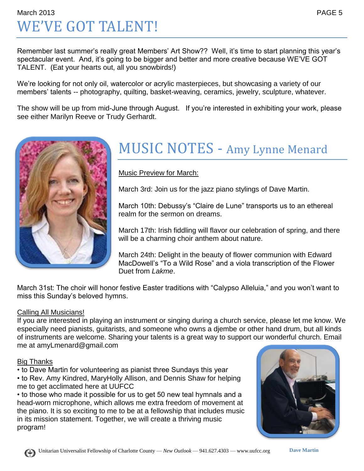### March 2013 PAGE 5 WE'VE GOT TALENT!

Remember last summer's really great Members' Art Show?? Well, it's time to start planning this year's spectacular event. And, it's going to be bigger and better and more creative because WE'VE GOT TALENT. (Eat your hearts out, all you snowbirds!)

We're looking for not only oil, watercolor or acrylic masterpieces, but showcasing a variety of our members' talents -- photography, quilting, basket-weaving, ceramics, jewelry, sculpture, whatever.

The show will be up from mid-June through August. If you're interested in exhibiting your work, please see either Marilyn Reeve or Trudy Gerhardt.



### MUSIC NOTES - Amy Lynne Menard

#### Music Preview for March:

March 3rd: Join us for the jazz piano stylings of Dave Martin.

March 10th: Debussy's "Claire de Lune" transports us to an ethereal realm for the sermon on dreams.

March 17th: Irish fiddling will flavor our celebration of spring, and there will be a charming choir anthem about nature.

March 24th: Delight in the beauty of flower communion with Edward MacDowell's "To a Wild Rose" and a viola transcription of the Flower Duet from *Lakme*.

March 31st: The choir will honor festive Easter traditions with "Calypso Alleluia," and you won't want to miss this Sunday's beloved hymns.

#### Calling All Musicians!

If you are interested in playing an instrument or singing during a church service, please let me know. We especially need pianists, guitarists, and someone who owns a djembe or other hand drum, but all kinds of instruments are welcome. Sharing your talents is a great way to support our wonderful church. Email me at amyLmenard@gmail.com

#### Big Thanks

- to Dave Martin for volunteering as pianist three Sundays this year • to Rev. Amy Kindred, MaryHolly Allison, and Dennis Shaw for helping
- me to get acclimated here at UUFCC

• to those who made it possible for us to get 50 new teal hymnals and a head-worn microphone, which allows me extra freedom of movement at the piano. It is so exciting to me to be at a fellowship that includes music in its mission statement. Together, we will create a thriving music program!



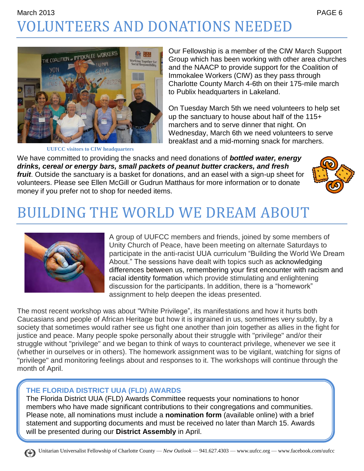### March 2013 PAGE 6 VOLUNTEERS AND DONATIONS NEEDED



**UUFCC visitors to CIW headquarters**

Our Fellowship is a member of the CIW March Support Group which has been working with other area churches and the NAACP to provide support for the Coalition of Immokalee Workers (CIW) as they pass through Charlotte County March 4-6th on their 175-mile march to Publix headquarters in Lakeland.

On Tuesday March 5th we need volunteers to help set up the sanctuary to house about half of the 115+ marchers and to serve dinner that night. On Wednesday, March 6th we need volunteers to serve breakfast and a mid-morning snack for marchers.

We have committed to providing the snacks and need donations of *bottled water, energy drinks, cereal or energy bars, small packets of peanut butter crackers, and fresh fruit*. Outside the sanctuary is a basket for donations, and an easel with a sign-up sheet for volunteers. Please see Ellen McGill or Gudrun Matthaus for more information or to donate money if you prefer not to shop for needed items.



## BUILDING THE WORLD WE DREAM ABOUT



A group of UUFCC members and friends, joined by some members of Unity Church of Peace, have been meeting on alternate Saturdays to participate in the anti-racist UUA curriculum "Building the World We Dream About." The sessions have dealt with topics such as acknowledging differences between us, remembering your first encounter with racism and racial identity formation which provide stimulating and enlightening discussion for the participants. In addition, there is a "homework" assignment to help deepen the ideas presented.

The most recent workshop was about "White Privilege", its manifestations and how it hurts both Caucasians and people of African Heritage but how it is ingrained in us, sometimes very subtly, by a society that sometimes would rather see us fight one another than join together as allies in the fight for justice and peace. Many people spoke personally about their struggle with "privilege" and/or their struggle without "privilege" and we began to think of ways to counteract privilege, whenever we see it (whether in ourselves or in others). The homework assignment was to be vigilant, watching for signs of "privilege" and monitoring feelings about and responses to it. The workshops will continue through the month of April.

#### **THE FLORIDA DISTRICT UUA (FLD) AWARDS**

The Florida District UUA (FLD) Awards Committee requests your nominations to honor members who have made significant contributions to their congregations and communities. Please note, all nominations must include a **nomination form** (available online) with a brief statement and supporting documents and must be received no later than March 15. Awards will be presented during our **District Assembly** in April.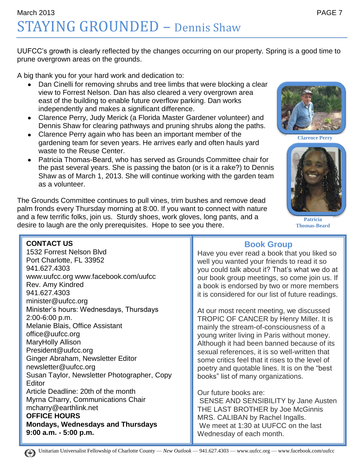UUFCC's growth is clearly reflected by the changes occurring on our property. Spring is a good time to prune overgrown areas on the grounds.

A big thank you for your hard work and dedication to:

- Dan Cinelli for removing shrubs and tree limbs that were blocking a clear view to Forrest Nelson. Dan has also cleared a very overgrown area east of the building to enable future overflow parking. Dan works independently and makes a significant difference.
- Clarence Perry, Judy Merick (a Florida Master Gardener volunteer) and  $\bullet$ Dennis Shaw for clearing pathways and pruning shrubs along the paths.
- $\bullet$ Clarence Perry again who has been an important member of the gardening team for seven years. He arrives early and often hauls yard waste to the Reuse Center.
- Patricia Thomas-Beard, who has served as Grounds Committee chair for the past several years. She is passing the baton (or is it a rake?) to Dennis Shaw as of March 1, 2013. She will continue working with the garden team as a volunteer.

The Grounds Committee continues to pull vines, trim bushes and remove dead palm fronds every Thursday morning at 8:00. If you want to connect with nature and a few terrific folks, join us. Sturdy shoes, work gloves, long pants, and a desire to laugh are the only prerequisites. Hope to see you there.



**Clarence Perry**



**Patricia Thomas-Beard**

#### **CONTACT US**

1532 Forrest Nelson Blvd Port Charlotte, FL 33952 941.627.4303 www.uufcc.org www.facebook.com/uufcc Rev. Amy Kindred 941.627.4303 minister@uufcc.org Minister's hours: Wednesdays, Thursdays 2:00-6:00 p.m. Melanie Blais, Office Assistant office@uufcc.org MaryHolly Allison President@uufcc.org Ginger Abraham, Newsletter Editor newsletter@uufcc.org Susan Taylor, Newsletter Photographer, Copy **Editor** Article Deadline: 20th of the month Myrna Charry, Communications Chair mcharry@earthlink.net **OFFICE HOURS Mondays, Wednesdays and Thursdays 9:00 a.m. - 5:00 p.m.**

#### **Book Group**

Have you ever read a book that you liked so well you wanted your friends to read it so you could talk about it? That's what we do at our book group meetings, so come join us. If a book is endorsed by two or more members it is considered for our list of future readings.

At our most recent meeting, we discussed TROPIC OF CANCER by Henry Miller. It is mainly the stream-of-consciousness of a young writer living in Paris without money. Although it had been banned because of its sexual references, it is so well-written that some critics feel that it rises to the level of poetry and quotable lines. It is on the "best books" list of many organizations.

#### Our future books are:

SENSE AND SENSIBILITY by Jane Austen THE LAST BROTHER by Joe McGinnis MRS. CALIBAN by Rachel Ingalls. We meet at 1:30 at UUFCC on the last Wednesday of each month.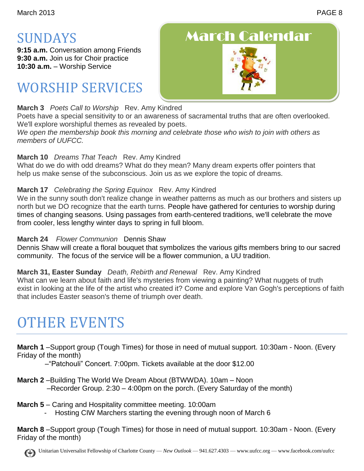### SUNDAYS

**9:15 a.m.** Conversation among Friends **9:30 a.m.** Join us for Choir practice **10:30 a.m.** – Worship Service

## WORSHIP SERVICES

#### **March 3** *Poets Call to Worship* Rev. Amy Kindred

Poets have a special sensitivity to or an awareness of sacramental truths that are often overlooked. We'll explore worshipful themes as revealed by poets.

*We open the membership book this morning and celebrate those who wish to join with others as members of UUFCC.*

#### **March 10** *Dreams That Teach* Rev. Amy Kindred

What do we do with odd dreams? What do they mean? Many dream experts offer pointers that help us make sense of the subconscious. Join us as we explore the topic of dreams.

#### **March 17** *Celebrating the Spring Equinox* Rev. Amy Kindred

We in the sunny south don't realize change in weather patterns as much as our brothers and sisters up north but we DO recognize that the earth turns. People have gathered for centuries to worship during times of changing seasons. Using passages from earth-centered traditions, we'll celebrate the move from cooler, less lengthy winter days to spring in full bloom.

#### **March 24** *Flower Communion* Dennis Shaw

Dennis Shaw will create a floral bouquet that symbolizes the various gifts members bring to our sacred community. The focus of the service will be a flower communion, a UU tradition.

#### **March 31, Easter Sunday** *Death, Rebirth and Renewal* Rev. Amy Kindred

What can we learn about faith and life's mysteries from viewing a painting? What nuggets of truth exist in looking at the life of the artist who created it? Come and explore Van Gogh's perceptions of faith that includes Easter season's theme of triumph over death.

## OTHER EVENTS

**March 1** –Support group (Tough Times) for those in need of mutual support. 10:30am - Noon. (Every Friday of the month)

–"Patchouli" Concert. 7:00pm. Tickets available at the door \$12.00

- **March 2** –Building The World We Dream About (BTWWDA). 10am Noon –Recorder Group. 2:30 – 4:00pm on the porch. (Every Saturday of the month)
- **March 5** Caring and Hospitality committee meeting. 10:00am
	- Hosting CIW Marchers starting the evening through noon of March 6

**March 8** –Support group (Tough Times) for those in need of mutual support. 10:30am - Noon. (Every Friday of the month)